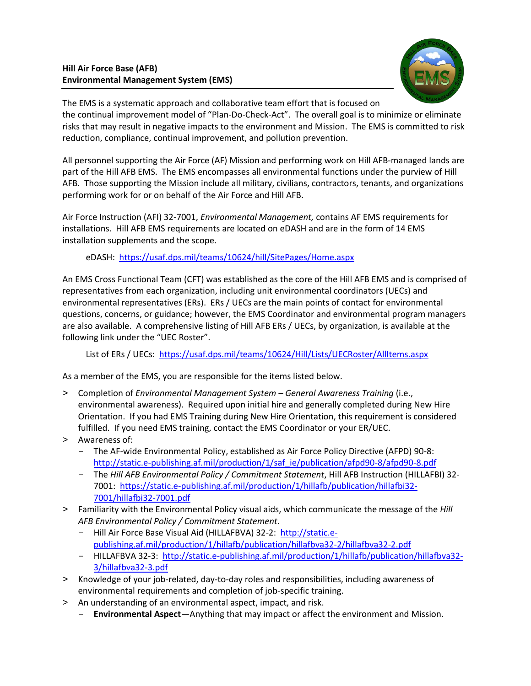

The EMS is a systematic approach and collaborative team effort that is focused on the continual improvement model of "Plan-Do-Check-Act". The overall goal is to minimize or eliminate risks that may result in negative impacts to the environment and Mission. The EMS is committed to risk reduction, compliance, continual improvement, and pollution prevention.

All personnel supporting the Air Force (AF) Mission and performing work on Hill AFB-managed lands are part of the Hill AFB EMS. The EMS encompasses all environmental functions under the purview of Hill AFB. Those supporting the Mission include all military, civilians, contractors, tenants, and organizations performing work for or on behalf of the Air Force and Hill AFB.

Air Force Instruction (AFI) 32-7001, *Environmental Management,* contains AF EMS requirements for installations. Hill AFB EMS requirements are located on eDASH and are in the form of 14 EMS installation supplements and the scope.

eDASH:<https://usaf.dps.mil/teams/10624/hill/SitePages/Home.aspx>

An EMS Cross Functional Team (CFT) was established as the core of the Hill AFB EMS and is comprised of representatives from each organization, including unit environmental coordinators (UECs) and environmental representatives (ERs). ERs / UECs are the main points of contact for environmental questions, concerns, or guidance; however, the EMS Coordinator and environmental program managers are also available. A comprehensive listing of Hill AFB ERs / UECs, by organization, is available at the following link under the "UEC Roster".

List of ERs / UECs:<https://usaf.dps.mil/teams/10624/Hill/Lists/UECRoster/AllItems.aspx>

As a member of the EMS, you are responsible for the items listed below.

- > Completion of *Environmental Management System – General Awareness Training* (i.e., environmental awareness). Required upon initial hire and generally completed during New Hire Orientation. If you had EMS Training during New Hire Orientation, this requirement is considered fulfilled. If you need EMS training, contact the EMS Coordinator or your ER/UEC.
- > Awareness of:
	- The AF-wide Environmental Policy, established as Air Force Policy Directive (AFPD) 90-8: [http://static.e-publishing.af.mil/production/1/saf\\_ie/publication/afpd90-8/afpd90-8.pdf](http://static.e-publishing.af.mil/production/1/saf_ie/publication/afpd90-8/afpd90-8.pdf)
	- The *Hill AFB Environmental Policy / Commitment Statement*, Hill AFB Instruction (HILLAFBI) 32- 7001: [https://static.e-publishing.af.mil/production/1/hillafb/publication/hillafbi32-](https://static.e-publishing.af.mil/production/1/hillafb/publication/hillafbi32-7001/hillafbi32-7001.pdf) [7001/hillafbi32-7001.pdf](https://static.e-publishing.af.mil/production/1/hillafb/publication/hillafbi32-7001/hillafbi32-7001.pdf)
- > Familiarity with the Environmental Policy visual aids, which communicate the message of the *Hill AFB Environmental Policy / Commitment Statement*.
	- Hill Air Force Base Visual Aid (HILLAFBVA) 32-2: [http://static.e](http://static.e-publishing.af.mil/production/1/hillafb/publication/hillafbva32-2/hillafbva32-2.pdf)[publishing.af.mil/production/1/hillafb/publication/hillafbva32-2/hillafbva32-2.pdf](http://static.e-publishing.af.mil/production/1/hillafb/publication/hillafbva32-2/hillafbva32-2.pdf)
	- HILLAFBVA 32-3: [http://static.e-publishing.af.mil/production/1/hillafb/publication/hillafbva32-](http://static.e-publishing.af.mil/production/1/hillafb/publication/hillafbva32-3/hillafbva32-3.pdf) [3/hillafbva32-3.pdf](http://static.e-publishing.af.mil/production/1/hillafb/publication/hillafbva32-3/hillafbva32-3.pdf)
- > Knowledge of your job-related, day-to-day roles and responsibilities, including awareness of environmental requirements and completion of job-specific training.
- > An understanding of an environmental aspect, impact, and risk.
	- **Environmental Aspect**—Anything that may impact or affect the environment and Mission.